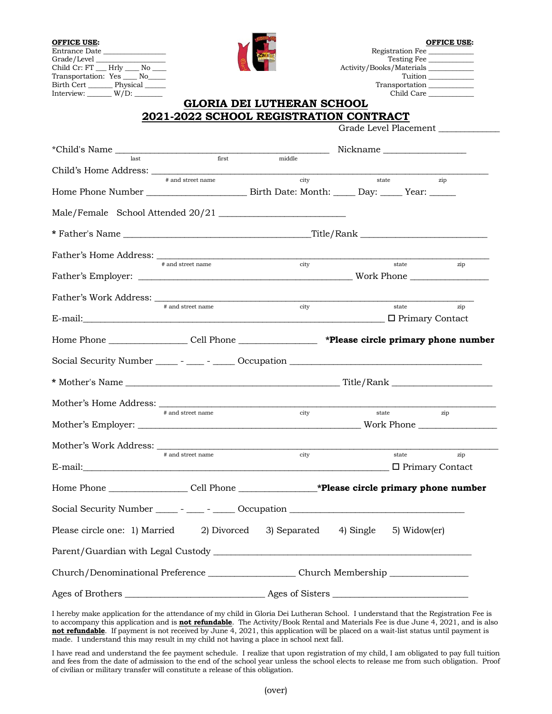| <b>OFFICE USE:</b><br>Entrance Date<br>Child Cr: FT __ Hrly ___ No ___<br>Transportation: Yes ____ No____<br>Birth Cert Physical<br>Interview: $W/D$ : |                                                                                                      | <b>GLORIA DEI LUTHERAN SCHOOL</b>               | Activity/Books/Materials | Registration Fee<br>Testing Fee<br>Transportation<br>Child Care | <b>OFFICE USE:</b><br>Tuition |
|--------------------------------------------------------------------------------------------------------------------------------------------------------|------------------------------------------------------------------------------------------------------|-------------------------------------------------|--------------------------|-----------------------------------------------------------------|-------------------------------|
| 2021-2022 SCHOOL REGISTRATION CONTRACT<br>Grade Level Placement                                                                                        |                                                                                                      |                                                 |                          |                                                                 |                               |
|                                                                                                                                                        |                                                                                                      |                                                 | Nickname                 |                                                                 |                               |
| *Child's Name hast her first middle                                                                                                                    |                                                                                                      |                                                 |                          |                                                                 |                               |
| Child's Home Address:                                                                                                                                  |                                                                                                      |                                                 | state                    |                                                                 | zip                           |
|                                                                                                                                                        |                                                                                                      |                                                 |                          |                                                                 |                               |
| Male/Female School Attended 20/21                                                                                                                      |                                                                                                      |                                                 |                          |                                                                 |                               |
|                                                                                                                                                        |                                                                                                      |                                                 |                          |                                                                 |                               |
|                                                                                                                                                        |                                                                                                      |                                                 |                          |                                                                 |                               |
|                                                                                                                                                        | # and street name                                                                                    | city                                            |                          | state                                                           | zip                           |
|                                                                                                                                                        |                                                                                                      |                                                 |                          |                                                                 |                               |
| Father's Work Address:                                                                                                                                 |                                                                                                      |                                                 |                          |                                                                 |                               |
|                                                                                                                                                        | # and street name                                                                                    | city                                            |                          | state                                                           | zip                           |
| Home Phone __________________Cell Phone _________________ *Please circle primary phone number                                                          |                                                                                                      |                                                 |                          |                                                                 |                               |
|                                                                                                                                                        |                                                                                                      |                                                 |                          |                                                                 |                               |
|                                                                                                                                                        |                                                                                                      |                                                 |                          |                                                                 |                               |
|                                                                                                                                                        |                                                                                                      |                                                 |                          |                                                                 |                               |
| Mother's Home Address:                                                                                                                                 |                                                                                                      |                                                 |                          |                                                                 |                               |
|                                                                                                                                                        | # and street name                                                                                    | city                                            |                          | state                                                           | zip                           |
|                                                                                                                                                        |                                                                                                      |                                                 |                          |                                                                 |                               |
|                                                                                                                                                        | # and street name                                                                                    | city                                            |                          | state                                                           | zip                           |
|                                                                                                                                                        |                                                                                                      |                                                 |                          | □ Primary Contact                                               |                               |
|                                                                                                                                                        |                                                                                                      |                                                 |                          |                                                                 |                               |
| Social Security Number _____ - ____ - _____ Occupation __________________________                                                                      |                                                                                                      |                                                 |                          |                                                                 |                               |
| Please circle one: 1) Married                                                                                                                          |                                                                                                      | 2) Divorced 3) Separated 4) Single 5) Widow(er) |                          |                                                                 |                               |
|                                                                                                                                                        |                                                                                                      |                                                 |                          |                                                                 |                               |
|                                                                                                                                                        | Church/Denominational Preference ________________________Church Membership _________________________ |                                                 |                          |                                                                 |                               |
|                                                                                                                                                        |                                                                                                      |                                                 |                          |                                                                 |                               |

I hereby make application for the attendance of my child in Gloria Dei Lutheran School. I understand that the Registration Fee is to accompany this application and is **not refundable**. The Activity/Book Rental and Materials Fee is due June 4, 2021, and is also **not refundable**. If payment is not received by June 4, 2021, this application will be placed on a wait-list status until payment is made. I understand this may result in my child not having a place in school next fall.

I have read and understand the fee payment schedule. I realize that upon registration of my child, I am obligated to pay full tuition and fees from the date of admission to the end of the school year unless the school elects to release me from such obligation. Proof of civilian or military transfer will constitute a release of this obligation.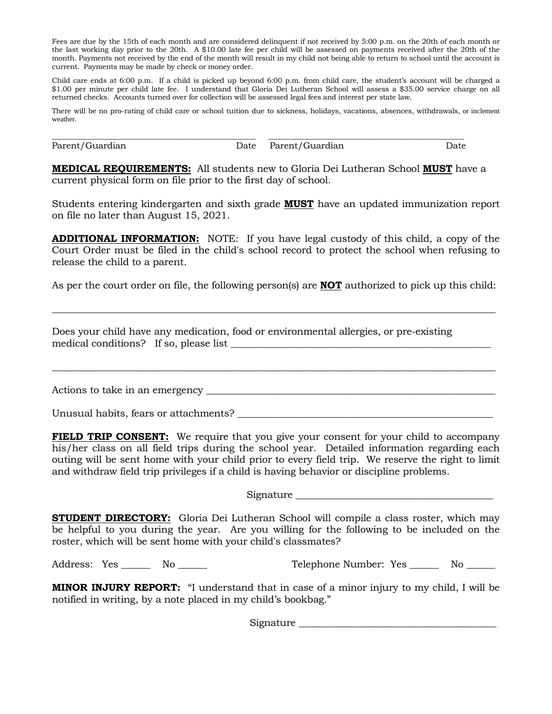Fees are due by the 15th of each month and are considered delinquent if not received by 5:00 p.m. on the 20th of each month or the last working day prior to the 20th. A \$10.00 late fee per child will be assessed on payments received after the 20th of the month. Payments not received by the end of the month will result in my child not being able to return to school until the account is current. Payments may be made by check or money order.

Child care ends at 6:00 p.m. If a child is picked up beyond 6:00 p.m. from child care, the student's account will be charged a \$1.00 per minute per child late fee. I understand that Gloria Dei Lutheran School will assess a \$35.00 service charge on all returned checks. Accounts turned over for collection will be assessed legal fees and interest per state law.

There will be no pro-rating of child care or school tuition due to sickness, holidays, vacations, absences, withdrawals, or inclement weather.

Parent/Guardian Date Parent/Guardian Date

\_\_\_\_\_\_\_\_\_\_\_\_\_\_\_\_\_\_\_\_\_\_\_\_\_\_\_\_\_\_\_\_\_\_\_\_\_\_\_\_\_\_\_\_\_\_\_\_\_\_\_\_ \_\_\_\_\_\_\_\_\_\_\_\_\_\_\_\_\_\_\_\_\_\_\_\_\_\_\_\_\_\_\_\_\_\_\_\_\_\_\_\_\_\_\_\_\_\_\_\_\_\_

**MEDICAL REQUIREMENTS:** All students new to Gloria Dei Lutheran School **MUST** have a current physical form on file prior to the first day of school.

Students entering kindergarten and sixth grade **MUST** have an updated immunization report on file no later than August 15, 2021.

**ADDITIONAL INFORMATION:** NOTE: If you have legal custody of this child, a copy of the Court Order must be filed in the child's school record to protect the school when refusing to release the child to a parent.

As per the court order on file, the following person(s) are **NOT** authorized to pick up this child:

\_\_\_\_\_\_\_\_\_\_\_\_\_\_\_\_\_\_\_\_\_\_\_\_\_\_\_\_\_\_\_\_\_\_\_\_\_\_\_\_\_\_\_\_\_\_\_\_\_\_\_\_\_\_\_\_\_\_\_\_\_\_\_\_\_\_\_\_\_\_\_\_\_\_\_\_\_\_\_\_\_\_\_\_\_\_\_\_\_\_\_\_

\_\_\_\_\_\_\_\_\_\_\_\_\_\_\_\_\_\_\_\_\_\_\_\_\_\_\_\_\_\_\_\_\_\_\_\_\_\_\_\_\_\_\_\_\_\_\_\_\_\_\_\_\_\_\_\_\_\_\_\_\_\_\_\_\_\_\_\_\_\_\_\_\_\_\_\_\_\_\_\_\_\_\_\_\_\_\_\_\_\_\_\_

Does your child have any medication, food or environmental allergies, or pre-existing medical conditions? If so, please list \_\_\_\_\_\_\_\_\_\_\_\_\_\_\_\_\_\_\_\_\_\_\_\_\_\_\_\_\_\_\_\_\_\_\_\_\_\_\_\_\_\_\_\_\_\_\_\_\_\_\_\_\_\_

Actions to take in an emergency \_\_\_\_\_\_\_\_\_\_\_\_\_\_\_\_\_\_\_\_\_\_\_\_\_\_\_\_\_\_\_\_\_\_\_\_\_\_\_\_\_\_\_\_\_\_\_\_\_\_\_\_\_\_\_\_\_\_\_\_

Unusual habits, fears or attachments?

**FIELD TRIP CONSENT:** We require that you give your consent for your child to accompany his/her class on all field trips during the school year. Detailed information regarding each outing will be sent home with your child prior to every field trip. We reserve the right to limit and withdraw field trip privileges if a child is having behavior or discipline problems.

Signature \_\_\_\_\_\_\_\_\_\_\_\_\_\_\_\_\_\_\_\_\_\_\_\_\_\_\_\_\_\_\_\_\_\_\_\_\_\_\_\_\_

**STUDENT DIRECTORY:** Gloria Dei Lutheran School will compile a class roster, which may be helpful to you during the year. Are you willing for the following to be included on the roster, which will be sent home with your child's classmates?

Address: Yes \_\_\_\_\_\_ No \_\_\_\_\_\_ Telephone Number: Yes \_\_\_\_\_ No \_\_\_\_\_

**MINOR INJURY REPORT:** "I understand that in case of a minor injury to my child, I will be notified in writing, by a note placed in my child's bookbag."

Signature  $\Box$